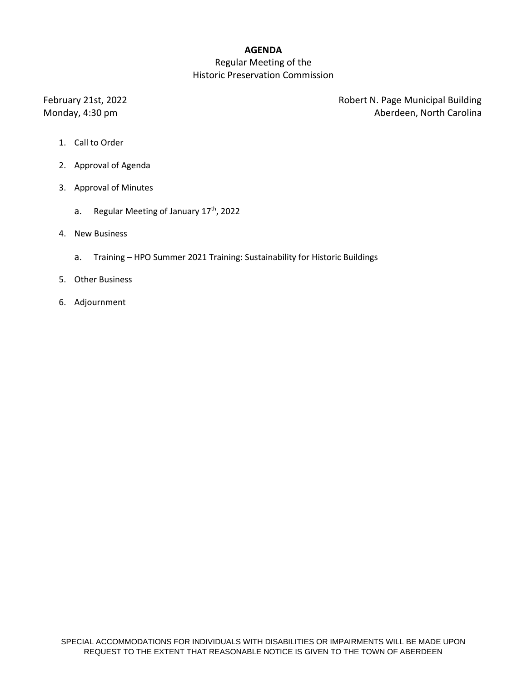### **AGENDA**

## Regular Meeting of the Historic Preservation Commission

February 21st, 2022 **Robert N. Page Municipal Building** Monday, 4:30 pm **Aberdeen**, North Carolina

- 1. Call to Order
- 2. Approval of Agenda
- 3. Approval of Minutes
	- a. Regular Meeting of January 17<sup>th</sup>, 2022
- 4. New Business
	- a. Training HPO Summer 2021 Training: Sustainability for Historic Buildings
- 5. Other Business
- 6. Adjournment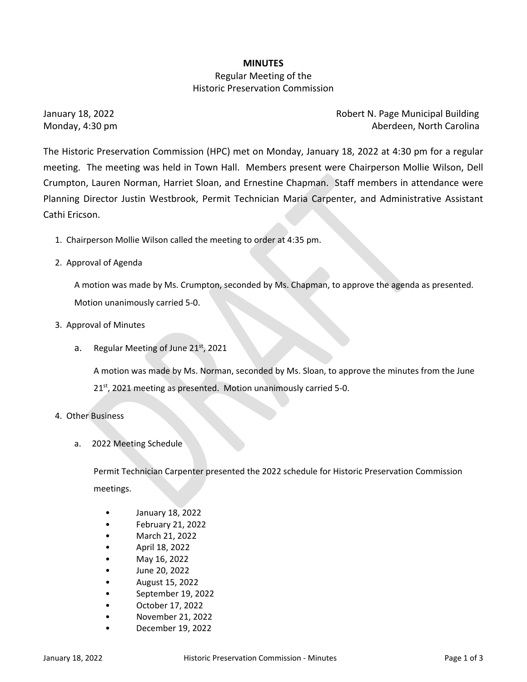### **MINUTES**

# Regular Meeting of the Historic Preservation Commission

January 18, 2022 Robert N. Page Municipal Building Monday, 4:30 pm Aberdeen, North Carolina

The Historic Preservation Commission (HPC) met on Monday, January 18, 2022 at 4:30 pm for a regular meeting. The meeting was held in Town Hall. Members present were Chairperson Mollie Wilson, Dell Crumpton, Lauren Norman, Harriet Sloan, and Ernestine Chapman. Staff members in attendance were Planning Director Justin Westbrook, Permit Technician Maria Carpenter, and Administrative Assistant Cathi Ericson.

- 1. Chairperson Mollie Wilson called the meeting to order at 4:35 pm.
- 2. Approval of Agenda

A motion was made by Ms. Crumpton, seconded by Ms. Chapman, to approve the agenda as presented. Motion unanimously carried 5‐0.

- 3. Approval of Minutes
	- a. Regular Meeting of June  $21<sup>st</sup>$ , 2021

A motion was made by Ms. Norman, seconded by Ms. Sloan, to approve the minutes from the June 21<sup>st</sup>, 2021 meeting as presented. Motion unanimously carried 5-0.

- 4. Other Business
	- a. 2022 Meeting Schedule

Permit Technician Carpenter presented the 2022 schedule for Historic Preservation Commission meetings.

- January 18, 2022
- February 21, 2022
- March 21, 2022
- April 18, 2022
- May 16, 2022
- June 20, 2022
- August 15, 2022
- September 19, 2022
- October 17, 2022
- November 21, 2022
- December 19, 2022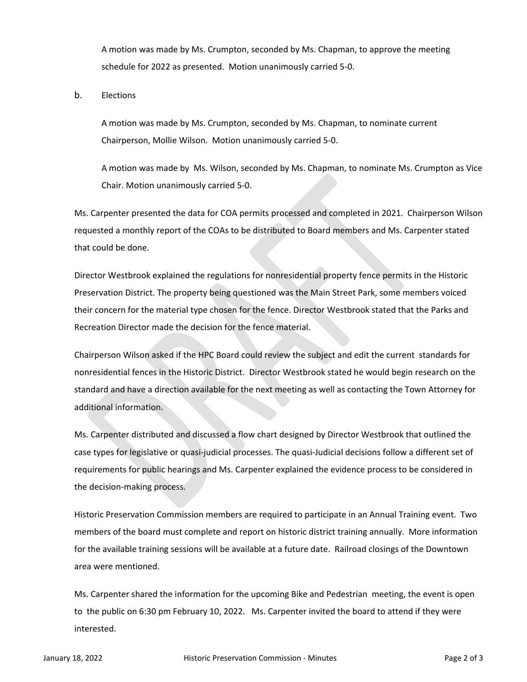A motion was made by Ms. Crumpton, seconded by Ms. Chapman, to approve the meeting schedule for 2022 as presented. Motion unanimously carried 5‐0.

b. Elections

A motion was made by Ms. Crumpton, seconded by Ms. Chapman, to nominate current Chairperson, Mollie Wilson. Motion unanimously carried 5‐0.

A motion was made by Ms. Wilson, seconded by Ms. Chapman, to nominate Ms. Crumpton as Vice Chair. Motion unanimously carried 5‐0.

Ms. Carpenter presented the data for COA permits processed and completed in 2021. Chairperson Wilson requested a monthly report of the COAs to be distributed to Board members and Ms. Carpenter stated that could be done.

Director Westbrook explained the regulations for nonresidential property fence permits in the Historic Preservation District. The property being questioned was the Main Street Park, some members voiced their concern for the material type chosen for the fence. Director Westbrook stated that the Parks and Recreation Director made the decision for the fence material.

Chairperson Wilson asked if the HPC Board could review the subject and edit the current standards for nonresidential fences in the Historic District. Director Westbrook stated he would begin research on the standard and have a direction available for the next meeting as well as contacting the Town Attorney for additional information.

Ms. Carpenter distributed and discussed a flow chart designed by Director Westbrook that outlined the case types for legislative or quasi‐judicial processes. The quasi‐Judicial decisions follow a different set of requirements for public hearings and Ms. Carpenter explained the evidence process to be considered in the decision‐making process.

Historic Preservation Commission members are required to participate in an Annual Training event. Two members of the board must complete and report on historic district training annually. More information for the available training sessions will be available at a future date. Railroad closings of the Downtown area were mentioned.

Ms. Carpenter shared the information for the upcoming Bike and Pedestrian meeting, the event is open to the public on 6:30 pm February 10, 2022. Ms. Carpenter invited the board to attend if they were interested.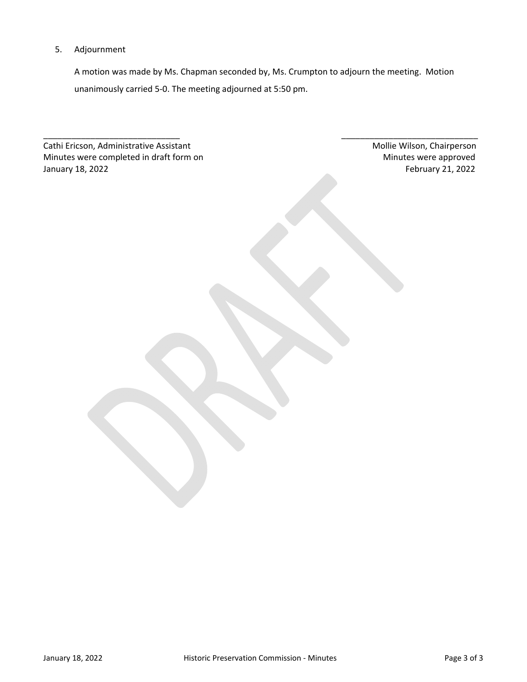#### 5. Adjournment

A motion was made by Ms. Chapman seconded by, Ms. Crumpton to adjourn the meeting. Motion unanimously carried 5‐0. The meeting adjourned at 5:50 pm.

\_\_\_\_\_\_\_\_\_\_\_\_\_\_\_\_\_\_\_\_\_\_\_\_\_\_\_\_\_ \_\_\_\_\_\_\_\_\_\_\_\_\_\_\_\_\_\_\_\_\_\_\_\_\_\_\_\_\_

Cathi Ericson, Administrative Assistant **Music Equation: Cathi Ericson, Chairperson** Minutes were completed in draft form on **Minutes were approved** Minutes were approved January 18, 2022 February 21, 2022